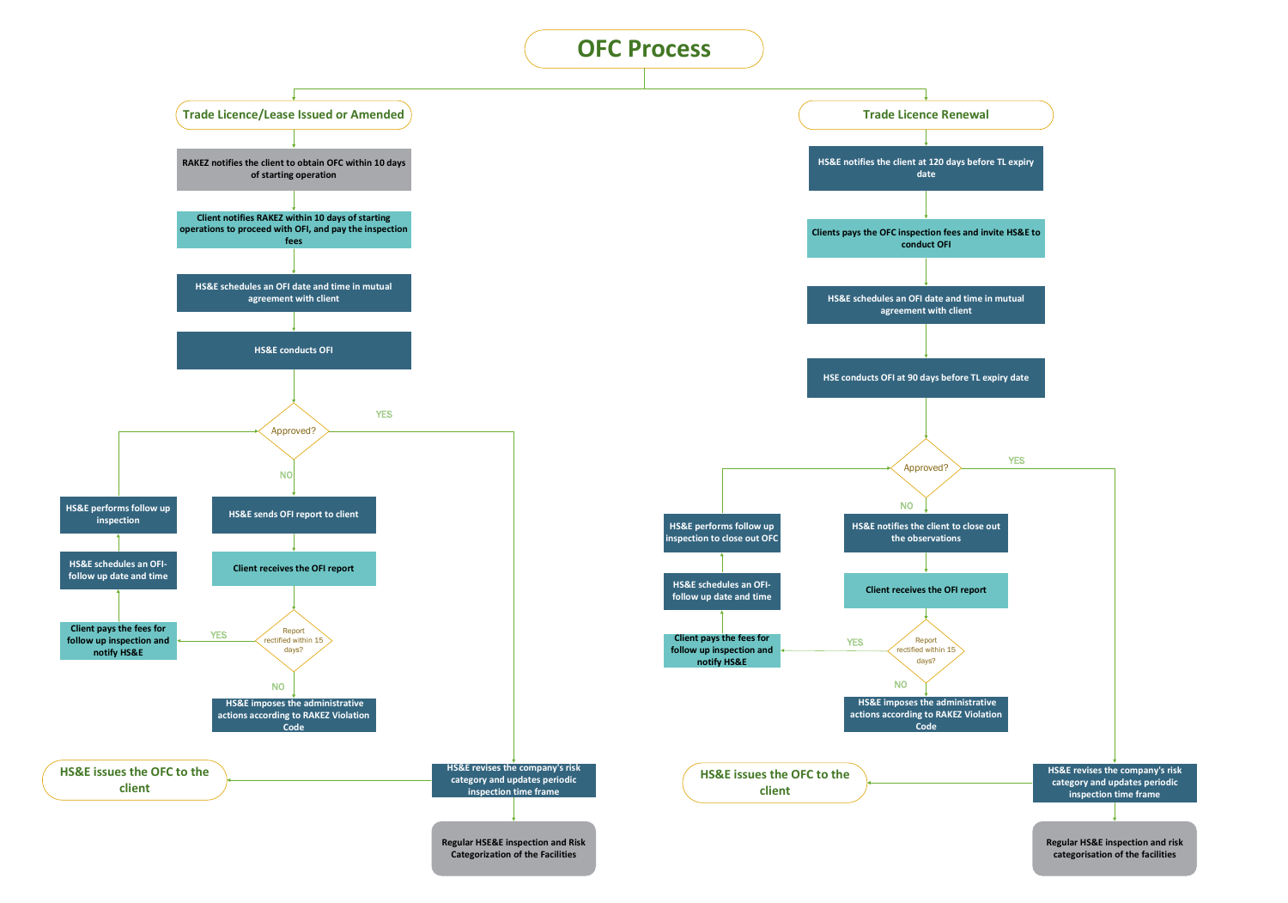



## YES **HS&E revises the company's risk category and updates periodic inspection time frame**



**category and updates periodic inspection time frame**

**Regular HSE&E inspection and Risk Categorization of the Facilities**

**Regular HS&E inspection and risk categorisation of the facilities**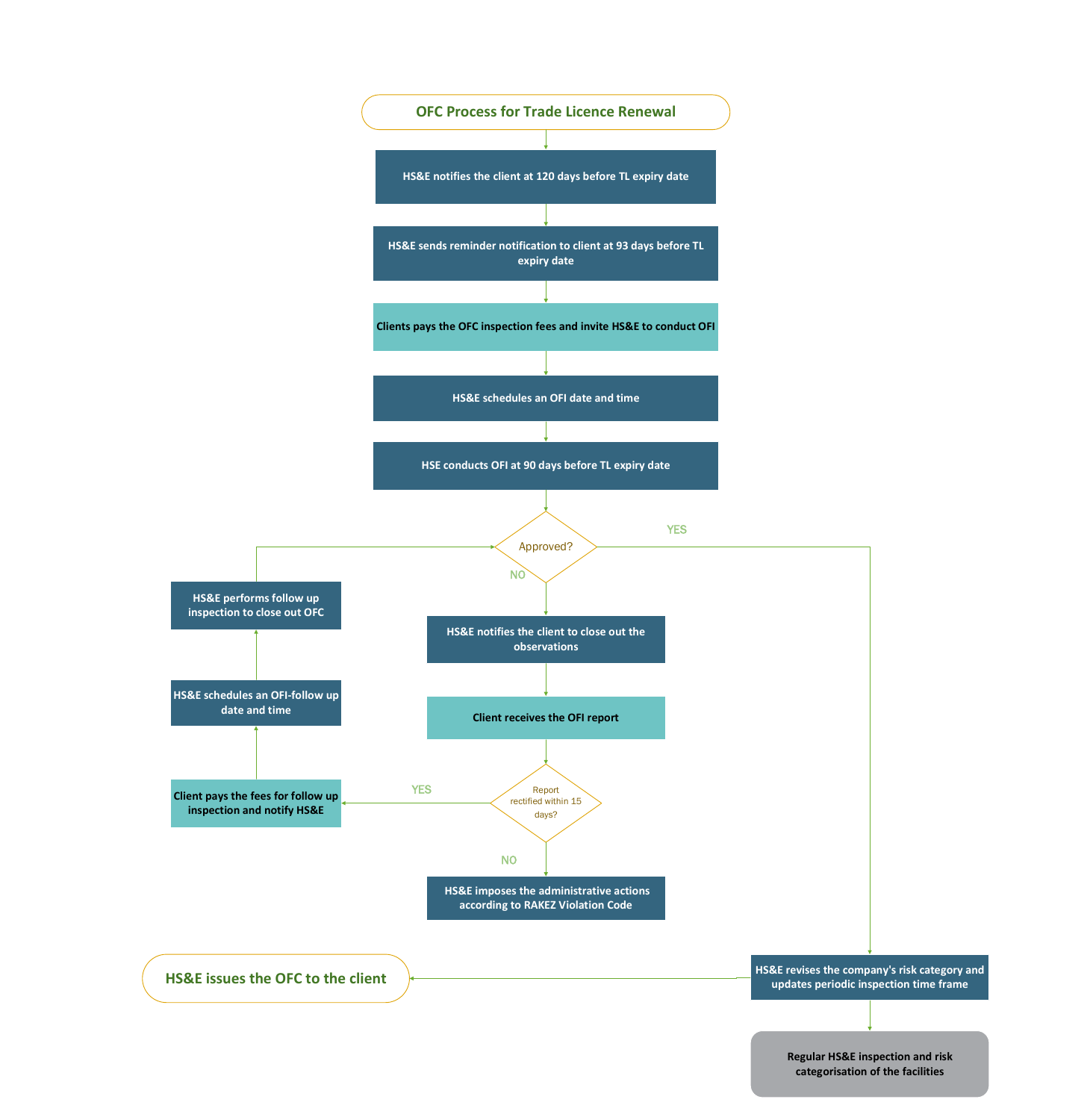